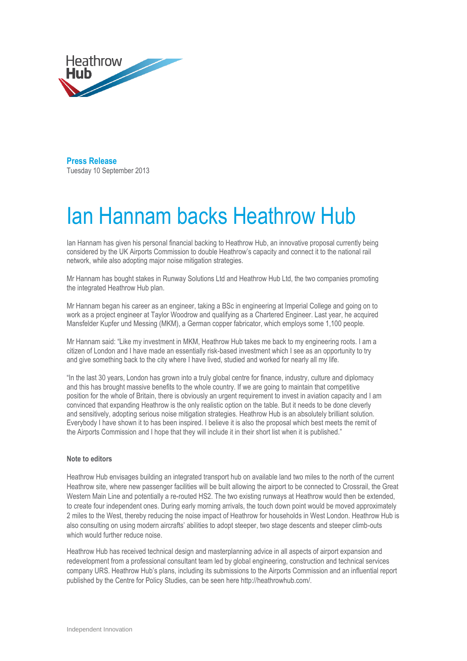

**Press Release**  Tuesday 10 September 2013

## Ian Hannam backs Heathrow Hub

Ian Hannam has given his personal financial backing to Heathrow Hub, an innovative proposal currently being considered by the UK Airports Commission to double Heathrow's capacity and connect it to the national rail network, while also adopting major noise mitigation strategies.

Mr Hannam has bought stakes in Runway Solutions Ltd and Heathrow Hub Ltd, the two companies promoting the integrated Heathrow Hub plan.

Mr Hannam began his career as an engineer, taking a BSc in engineering at Imperial College and going on to work as a project engineer at Taylor Woodrow and qualifying as a Chartered Engineer. Last year, he acquired Mansfelder Kupfer und Messing (MKM), a German copper fabricator, which employs some 1,100 people.

Mr Hannam said: "Like my investment in MKM, Heathrow Hub takes me back to my engineering roots. I am a citizen of London and I have made an essentially risk-based investment which I see as an opportunity to try and give something back to the city where I have lived, studied and worked for nearly all my life.

"In the last 30 years, London has grown into a truly global centre for finance, industry, culture and diplomacy and this has brought massive benefits to the whole country. If we are going to maintain that competitive position for the whole of Britain, there is obviously an urgent requirement to invest in aviation capacity and I am convinced that expanding Heathrow is the only realistic option on the table. But it needs to be done cleverly and sensitively, adopting serious noise mitigation strategies. Heathrow Hub is an absolutely brilliant solution. Everybody I have shown it to has been inspired. I believe it is also the proposal which best meets the remit of the Airports Commission and I hope that they will include it in their short list when it is published."

## **Note to editors**

Heathrow Hub envisages building an integrated transport hub on available land two miles to the north of the current Heathrow site, where new passenger facilities will be built allowing the airport to be connected to Crossrail, the Great Western Main Line and potentially a re-routed HS2. The two existing runways at Heathrow would then be extended, to create four independent ones. During early morning arrivals, the touch down point would be moved approximately 2 miles to the West, thereby reducing the noise impact of Heathrow for households in West London. Heathrow Hub is also consulting on using modern aircrafts' abilities to adopt steeper, two stage descents and steeper climb-outs which would further reduce noise.

Heathrow Hub has received technical design and masterplanning advice in all aspects of airport expansion and redevelopment from a professional consultant team led by global engineering, construction and technical services company URS. Heathrow Hub's plans, including its submissions to the Airports Commission and an influential report published by the Centre for Policy Studies, can be seen here http://heathrowhub.com/.